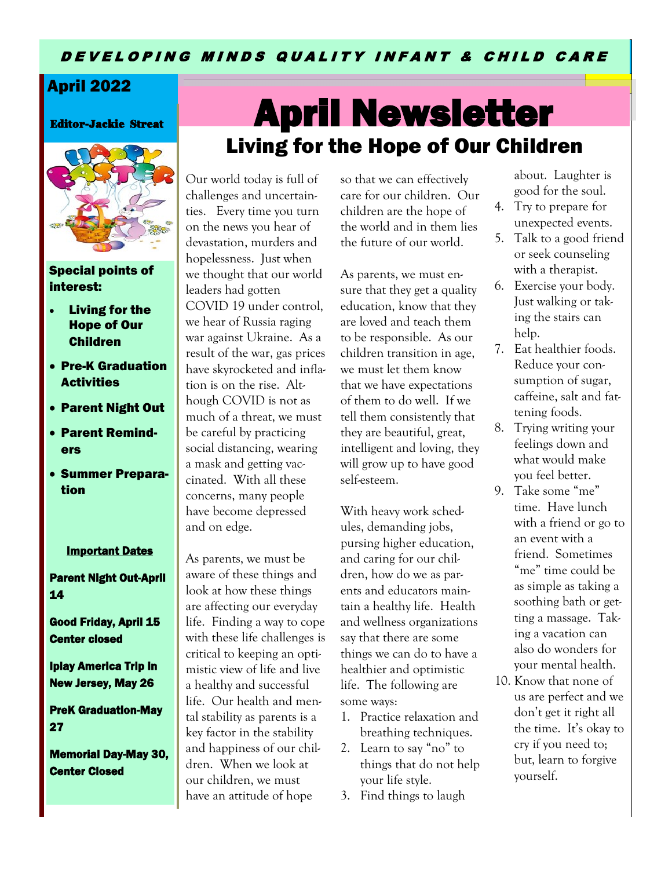#### D E V E LO P I N G M I N D S Q U A L I T Y I N F A N T & C H I L D C A R E

### April 2022

Editor-Jackie Streat



Special points of interest:

- Living for the Hope of Our Children
- Pre-K Graduation **Activities**
- Parent Night Out
- Parent Reminders
- Summer Preparation

#### Important Dates

Parent Night Out-April 14

Good Friday, April 15 Center closed

Iplay America Trip in New Jersey, May 26

PreK Graduation-May 27

Memorial Day-May 30, Center Closed

# Living for the Hope of Our Children April Newsletter

Our world today is full of challenges and uncertainties. Every time you turn on the news you hear of devastation, murders and hopelessness. Just when we thought that our world leaders had gotten COVID 19 under control, we hear of Russia raging war against Ukraine. As a result of the war, gas prices have skyrocketed and inflation is on the rise. Although COVID is not as much of a threat, we must be careful by practicing social distancing, wearing a mask and getting vaccinated. With all these concerns, many people have become depressed and on edge.

As parents, we must be aware of these things and look at how these things are affecting our everyday life. Finding a way to cope with these life challenges is critical to keeping an optimistic view of life and live a healthy and successful life. Our health and mental stability as parents is a key factor in the stability and happiness of our children. When we look at our children, we must have an attitude of hope

so that we can effectively care for our children. Our children are the hope of the world and in them lies the future of our world.

As parents, we must ensure that they get a quality education, know that they are loved and teach them to be responsible. As our children transition in age, we must let them know that we have expectations of them to do well. If we tell them consistently that they are beautiful, great, intelligent and loving, they will grow up to have good self-esteem.

With heavy work schedules, demanding jobs, pursing higher education, and caring for our children, how do we as parents and educators maintain a healthy life. Health and wellness organizations say that there are some things we can do to have a healthier and optimistic life. The following are some ways:

- 1. Practice relaxation and breathing techniques.
- 2. Learn to say "no" to things that do not help your life style.
- 3. Find things to laugh

about. Laughter is good for the soul.

- 4. Try to prepare for unexpected events.
- 5. Talk to a good friend or seek counseling with a therapist.
- 6. Exercise your body. Just walking or taking the stairs can help.
- 7. Eat healthier foods. Reduce your consumption of sugar, caffeine, salt and fattening foods.
- 8. Trying writing your feelings down and what would make you feel better.
- 9. Take some "me" time. Have lunch with a friend or go to an event with a friend. Sometimes "me" time could be as simple as taking a soothing bath or getting a massage. Taking a vacation can also do wonders for your mental health.
- 10. Know that none of us are perfect and we don't get it right all the time. It's okay to cry if you need to; but, learn to forgive yourself.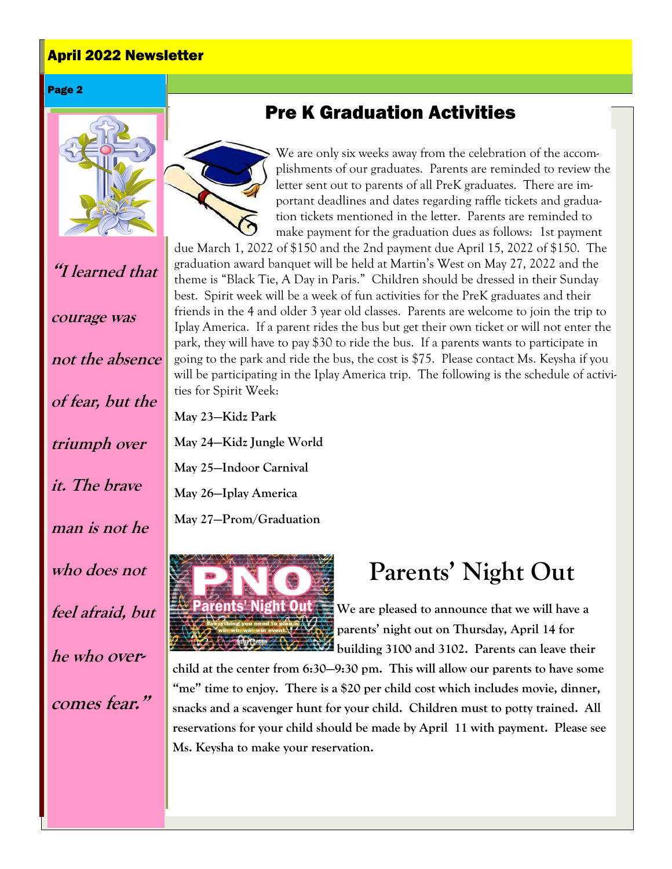### April 2022 Newsletter

#### Page 2



**"I learned that** 

**courage was** 

**not the absence of fear, but the triumph over it. The brave man is not he who does not feel afraid, but he who over-**

**comes fear."**

## Pre K Graduation Activities



We are only six weeks away from the celebration of the accomplishments of our graduates. Parents are reminded to review the letter sent out to parents of all PreK graduates. There are important deadlines and dates regarding raffle tickets and graduation tickets mentioned in the letter. Parents are reminded to make payment for the graduation dues as follows: 1st payment

due March 1, 2022 of \$150 and the 2nd payment due April 15, 2022 of \$150. The graduation award banquet will be held at Martin's West on May 27, 2022 and the theme is "Black Tie, A Day in Paris." Children should be dressed in their Sunday best. Spirit week will be a week of fun activities for the PreK graduates and their friends in the 4 and older 3 year old classes. Parents are welcome to join the trip to Iplay America. If a parent rides the bus but get their own ticket or will not enter the park, they will have to pay \$30 to ride the bus. If a parents wants to participate in going to the park and ride the bus, the cost is \$75. Please contact Ms. Keysha if you will be participating in the Iplay America trip. The following is the schedule of activities for Spirit Week:

**May 23—Kidz Park May 24—Kidz Jungle World May 25—Indoor Carnival May 26—Iplay America**

**May 27—Prom/Graduation**



# **Parents' Night Out**

**We are pleased to announce that we will have a parents' night out on Thursday, April 14 for building 3100 and 3102. Parents can leave their** 

**child at the center from 6:30—9:30 pm. This will allow our parents to have some "me" time to enjoy. There is a \$20 per child cost which includes movie, dinner, snacks and a scavenger hunt for your child. Children must to potty trained. All reservations for your child should be made by April 11 with payment. Please see Ms. Keysha to make your reservation.**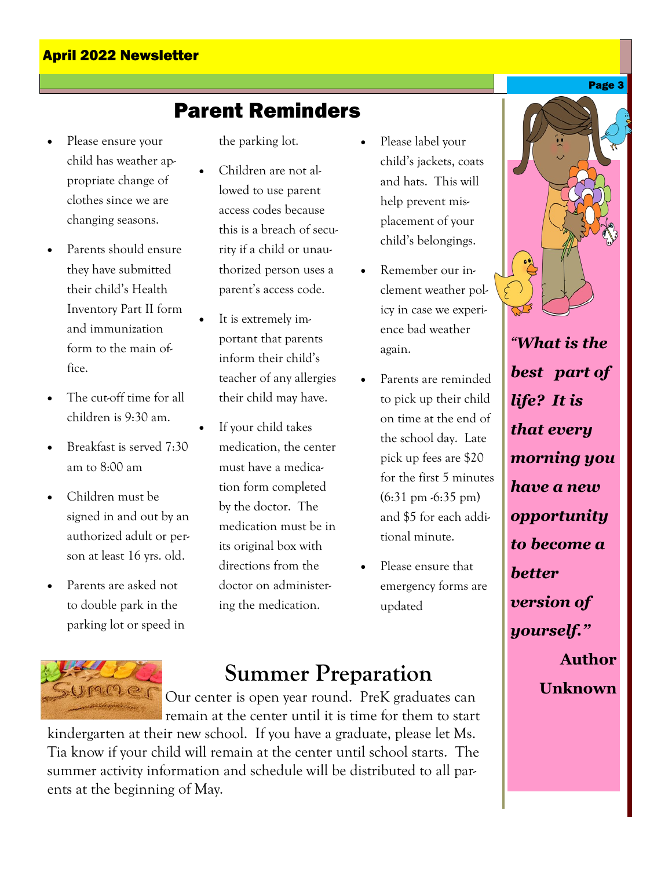#### April 2022 Newsletter

### Parent Reminders

- Please ensure your child has weather appropriate change of clothes since we are changing seasons.
- Parents should ensure they have submitted their child's Health Inventory Part II form and immunization form to the main office.
- The cut-off time for all children is 9:30 am.
- Breakfast is served 7:30 am to 8:00 am
- Children must be signed in and out by an authorized adult or person at least 16 yrs. old.
- Parents are asked not to double park in the parking lot or speed in

the parking lot.

- Children are not allowed to use parent access codes because this is a breach of security if a child or unauthorized person uses a parent's access code.
- It is extremely important that parents inform their child's teacher of any allergies their child may have.
- If your child takes medication, the center must have a medication form completed by the doctor. The medication must be in its original box with directions from the doctor on administering the medication.
- Please label your child's jackets, coats and hats. This will help prevent misplacement of your child's belongings.
- Remember our inclement weather policy in case we experience bad weather again.
- Parents are reminded to pick up their child on time at the end of the school day. Late pick up fees are \$20 for the first 5 minutes  $(6:31 \text{ pm } -6:35 \text{ pm})$ and \$5 for each additional minute.
- Please ensure that emergency forms are updated

### **Summer Preparation**

Our center is open year round. PreK graduates can remain at the center until it is time for them to start

kindergarten at their new school. If you have a graduate, please let Ms. Tia know if your child will remain at the center until school starts. The summer activity information and schedule will be distributed to all parents at the beginning of May.



*"What is the best part of life? It is that every morning you have a new opportunity to become a better version of yourself."*  **Author Unknown**